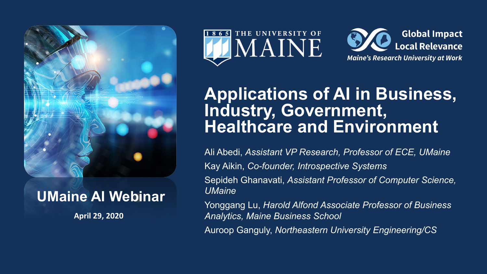

### **UMaine AI Webinar**

**April 29, 2020**





## **Applications of AI in Business, Industry, Government, Healthcare and Environment**

Ali Abedi, *Assistant VP Research, Professor of ECE, UMaine* Kay Aikin, *Co-founder, Introspective Systems* Sepideh Ghanavati, *Assistant Professor of Computer Science, UMaine*

Yonggang Lu, *Harold Alfond Associate Professor of Business Analytics, Maine Business School*

Auroop Ganguly, *Northeastern University Engineering/CS*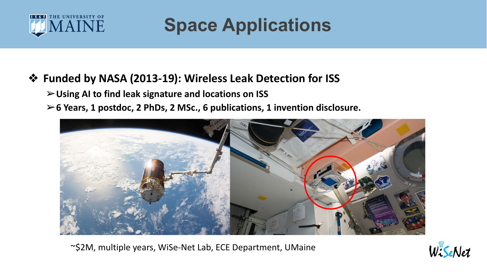

**Space Applications**

#### ❖ **Funded by NASA (2013-19): Wireless Leak Detection for ISS**

➢**Using AI to find leak signature and locations on ISS**

➢**6 Years, 1 postdoc, 2 PhDs, 2 MSc., 6 publications, 1 invention disclosure.** 



~\$2M, multiple years, WiSe-Net Lab, ECE Department, UMaine

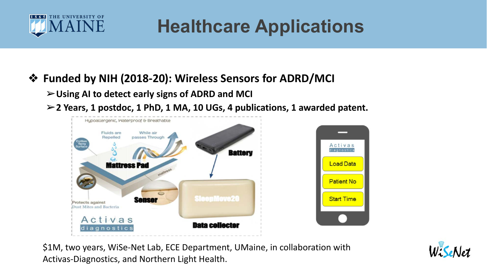

**Healthcare Applications**

### ❖ **Funded by NIH (2018-20): Wireless Sensors for ADRD/MCI**

➢**Using AI to detect early signs of ADRD and MCI**

➢**2 Years, 1 postdoc, 1 PhD, 1 MA, 10 UGs, 4 publications, 1 awarded patent.** 



\$1M, two years, WiSe-Net Lab, ECE Department, UMaine, in collaboration with Activas-Diagnostics, and Northern Light Health.

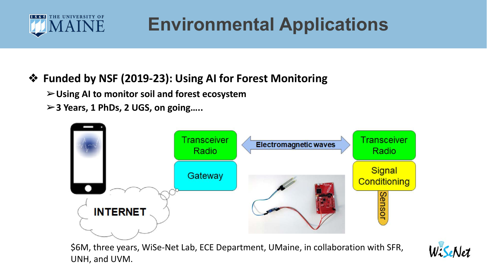

# **Environmental Applications**

### ❖ **Funded by NSF (2019-23): Using AI for Forest Monitoring**

➢**Using AI to monitor soil and forest ecosystem**

➢**3 Years, 1 PhDs, 2 UGS, on going…..**



\$6M, three years, WiSe-Net Lab, ECE Department, UMaine, in collaboration with SFR, UNH, and UVM.